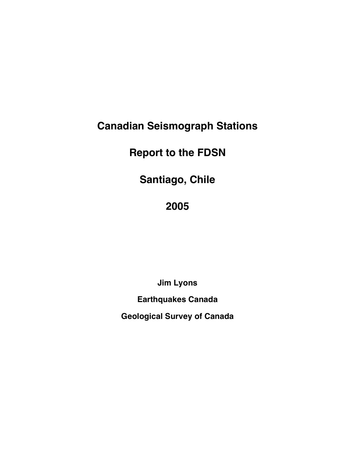# **Canadian Seismograph Stations**

# **Report to the FDSN**

**Santiago, Chile**

## **2005**

**Jim Lyons**

**Earthquakes Canada**

**Geological Survey of Canada**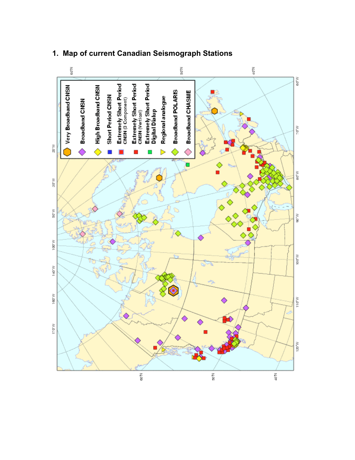

### **1. Map of current Canadian Seismograph Stations**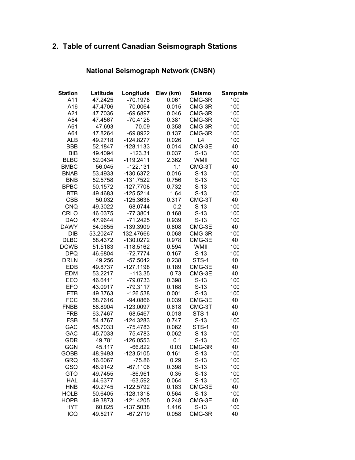## **2. Table of current Canadian Seismograph Stations**

## **National Seismograph Network (CNSN)**

| <b>Station</b>    | Latitude           | Longitude                | Elev (km)      | <b>Seismo</b>   | <b>Samprate</b> |
|-------------------|--------------------|--------------------------|----------------|-----------------|-----------------|
| A11               | 47.2425            | $-70.1978$               | 0.061          | CMG-3R          | 100             |
| A16               | 47.4706            | $-70.0064$               | 0.015          | CMG-3R          | 100             |
| A21               | 47.7036            | $-69.6897$               | 0.046          | CMG-3R          | 100             |
| A54               | 47.4567            | $-70.4125$               | 0.381          | CMG-3R          | 100             |
| A61               | 47.693             | $-70.09$                 | 0.358          | CMG-3R          | 100             |
| A64               | 47.8264            | $-69.8922$               | 0.137          | CMG-3R          | 100             |
| <b>ALB</b>        | 49.2718            | $-124.8277$              | 0.026          | L4              | 100             |
| <b>BBB</b>        | 52.1847            | $-128.1133$              | 0.014          | CMG-3E          | 40              |
| <b>BIB</b>        | 49.4094            | $-123.31$                | 0.037          | $S-13$          | 100             |
| <b>BLBC</b>       | 52.0434            | $-119.2411$              | 2.362          | WMII            | 100             |
| <b>BMBC</b>       | 56.045             | $-122.131$               | 1.1            | CMG-3T          | 40              |
| <b>BNAB</b>       | 53.4933            | $-130.6372$              | 0.016          | $S-13$          | 100             |
| <b>BNB</b>        | 52.5758            | -131.7522                | 0.756          | $S-13$          | 100             |
| <b>BPBC</b>       | 50.1572            | $-127.7708$              | 0.732          | $S-13$          | 100             |
| <b>BTB</b>        | 49.4683            | $-125.5214$              | 1.64           | $S-13$          | 100             |
| <b>CBB</b>        | 50.032             | $-125.3638$              | 0.317          | CMG-3T          | 40              |
| CNQ               | 49.3022            | $-68.0744$               | 0.2            | $S-13$          | 100             |
| CRLO              | 46.0375            | $-77.3801$               | 0.168          | $S-13$          | 100             |
| <b>DAQ</b>        | 47.9644            | $-71.2425$               | 0.939          | $S-13$          | 100             |
| <b>DAWY</b>       | 64.0655            | -139.3909                | 0.808          | CMG-3E          | 40              |
| DIB               | 53.20247           | -132.47666               | 0.068          | CMG-3R          | 100             |
| <b>DLBC</b>       | 58.4372            | $-130.0272$              | 0.978          | CMG-3E          | 40              |
| <b>DOWB</b>       | 51.5183            | $-118.5162$              | 0.594          | WMII            | 100             |
| <b>DPQ</b>        | 46.6804            | $-72.7774$               | 0.167          | $S-13$          | 100             |
| <b>DRLN</b>       | 49.256             | $-57.5042$               | 0.238          | STS-1           | 40              |
| <b>EDB</b>        | 49.8737            | $-127.1198$              | 0.189          | CMG-3E          | 40              |
| <b>EDM</b>        | 53.2217            | $-113.35$                | 0.73           | CMG-3E          | 40              |
| EEO               | 46.6411            | $-79.0733$               | 0.398          | $S-13$          | 100             |
| <b>EFO</b>        | 43.0917            | $-79.3117$               | 0.168          | $S-13$          | 100             |
| <b>ETB</b>        | 49.3763            | $-126.538$               | 0.001          | $S-13$          | 100             |
| <b>FCC</b>        | 58.7616            | $-94.0866$               | 0.039          | CMG-3E          | 40              |
| <b>FNBB</b>       | 58.8904            | $-123.0097$              | 0.618          | CMG-3T          | 40              |
| <b>FRB</b>        | 63.7467            | $-68.5467$               | 0.018          | STS-1           | 40              |
| <b>FSB</b>        | 54.4767<br>45.7033 | $-124.3283$              | 0.747<br>0.062 | $S-13$<br>STS-1 | 100<br>40       |
| GAC<br><b>GAC</b> | 45.7033            | $-75.4783$<br>$-75.4783$ | 0.062          | $S-13$          | 100             |
| <b>GDR</b>        | 49.781             | $-126.0553$              | 0.1            | $S-13$          | 100             |
| <b>GGN</b>        | 45.117             | $-66.822$                | 0.03           | CMG-3R          | 40              |
| GOBB              | 48.9493            | $-123.5105$              | 0.161          | $S-13$          | 100             |
| <b>GRQ</b>        | 46.6067            | $-75.86$                 | 0.29           | $S-13$          | 100             |
| GSQ               | 48.9142            | $-67.1106$               | 0.398          | $S-13$          | 100             |
| <b>GTO</b>        | 49.7455            | $-86.961$                | 0.35           | $S-13$          | 100             |
| <b>HAL</b>        | 44.6377            | $-63.592$                | 0.064          | $S-13$          | 100             |
| <b>HNB</b>        | 49.2745            | $-122.5792$              | 0.183          | CMG-3E          | 40              |
| <b>HOLB</b>       | 50.6405            | $-128.1318$              | 0.564          | $S-13$          | 100             |
| <b>HOPB</b>       | 49.3873            | $-121.4205$              | 0.248          | CMG-3E          | 40              |
| <b>HYT</b>        | 60.825             | $-137.5038$              | 1.416          | $S-13$          | 100             |
| ICQ               | 49.5217            | $-67.2719$               | 0.058          | CMG-3R          | 40              |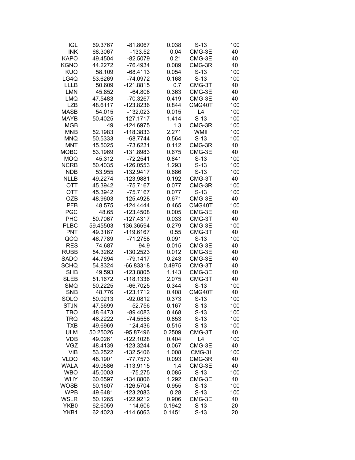| <b>IGL</b>  | 69.3767  | $-81.8067$  | 0.038  | $S-13$ | 100 |
|-------------|----------|-------------|--------|--------|-----|
| <b>INK</b>  | 68.3067  | $-133.52$   | 0.04   | CMG-3E | 40  |
| <b>KAPO</b> | 49.4504  | $-82.5079$  | 0.21   | CMG-3E | 40  |
| <b>KGNO</b> | 44.2272  | $-76.4934$  | 0.089  | CMG-3R | 40  |
| <b>KUQ</b>  | 58.109   | $-68.4113$  | 0.054  | $S-13$ | 100 |
| LG4Q        | 53.6269  | $-74.0972$  | 0.168  | $S-13$ | 100 |
| <b>LLLB</b> | 50.609   | $-121.8815$ | 0.7    | CMG-3T | 40  |
| <b>LMN</b>  | 45.852   | $-64.806$   | 0.363  | CMG-3E | 40  |
| <b>LMQ</b>  | 47.5483  | $-70.3267$  | 0.419  | CMG-3E | 40  |
| <b>LZB</b>  | 48.6117  | $-123.8236$ | 0.844  | CMG40T | 100 |
| <b>MASB</b> | 54.015   | $-132.023$  | 0.015  | L4     | 100 |
| <b>MAYB</b> | 50.4025  | $-127.1717$ | 1.414  | $S-13$ | 100 |
| <b>MGB</b>  | 49       | $-124.6975$ | 1.3    | CMG-3R | 100 |
| <b>MNB</b>  | 52.1983  | -118.3833   | 2.271  | WMII   | 100 |
| <b>MNQ</b>  | 50.5333  | $-68.7744$  | 0.564  | $S-13$ | 100 |
| <b>MNT</b>  | 45.5025  | $-73.6231$  | 0.112  | CMG-3R | 40  |
| <b>MOBC</b> | 53.1969  | -131.8983   | 0.675  | CMG-3E | 40  |
| <b>MOQ</b>  | 45.312   | $-72.2541$  | 0.841  | $S-13$ | 100 |
| <b>NCRB</b> | 50.4035  | $-126.0553$ | 1.293  | $S-13$ | 100 |
| <b>NDB</b>  | 53.955   | $-132.9417$ | 0.686  | $S-13$ | 100 |
| <b>NLLB</b> | 49.2274  | $-123.9881$ | 0.192  | CMG-3T | 40  |
| <b>OTT</b>  | 45.3942  | $-75.7167$  | 0.077  | CMG-3R | 100 |
| <b>OTT</b>  | 45.3942  | $-75.7167$  | 0.077  | $S-13$ | 100 |
| <b>OZB</b>  | 48.9603  | $-125.4928$ | 0.671  | CMG-3E | 40  |
| PFB         | 48.575   | $-124.4444$ | 0.465  | CMG40T | 100 |
| <b>PGC</b>  | 48.65    | $-123.4508$ | 0.005  | CMG-3E | 40  |
| <b>PHC</b>  | 50.7067  | $-127.4317$ | 0.033  | CMG-3T | 40  |
| <b>PLBC</b> | 59.45503 | -136.36594  | 0.279  | CMG-3E | 100 |
| <b>PNT</b>  | 49.3167  | -119.6167   | 0.55   | CMG-3T | 40  |
| QCQ         | 46.7789  | $-71.2758$  | 0.091  | $S-13$ | 100 |
| <b>RES</b>  | 74.687   | $-94.9$     | 0.015  | CMG-3E | 40  |
| <b>RUBB</b> | 54.3262  | $-130.2523$ | 0.012  | CMG-3E | 40  |
| <b>SADO</b> | 44.7694  | $-79.1417$  | 0.243  | CMG-3E | 40  |
| <b>SCHQ</b> | 54.8324  | $-66.83318$ | 0.4975 | CMG-3T | 40  |
| <b>SHB</b>  | 49.593   | -123.8805   | 1.143  | CMG-3E | 40  |
| <b>SLEB</b> | 51.1672  | $-118.1336$ | 2.075  | CMG-3T | 40  |
| <b>SMQ</b>  | 50.2225  | $-66.7025$  | 0.344  | $S-13$ | 100 |
| <b>SNB</b>  | 48.776   | $-123.1712$ | 0.408  | CMG40T | 40  |
| SOLO        | 50.0213  | $-92.0812$  | 0.373  | $S-13$ | 100 |
| <b>STJN</b> | 47.5699  | $-52.756$   | 0.167  | $S-13$ | 100 |
| <b>TBO</b>  | 48.6473  | $-89.4083$  | 0.468  | $S-13$ | 100 |
| <b>TRQ</b>  | 46.2222  | -74.5556    | 0.853  | $S-13$ | 100 |
| <b>TXB</b>  | 49.6969  | $-124.436$  | 0.515  | $S-13$ | 100 |
| <b>ULM</b>  | 50.25026 | -95.87496   | 0.2509 | CMG-3T | 40  |
| <b>VDB</b>  | 49.0261  | $-122.1028$ | 0.404  | L4     | 100 |
| VGZ         | 48.4139  | $-123.3244$ | 0.067  | CMG-3E | 40  |
| <b>VIB</b>  | 53.2522  | -132.5406   | 1.008  | CMG-3I | 100 |
| <b>VLDQ</b> | 48.1901  | $-77.7573$  | 0.093  | CMG-3R | 40  |
| <b>WALA</b> | 49.0586  | $-113.9115$ | 1.4    | CMG-3E | 40  |
| <b>WBO</b>  | 45.0003  | $-75.275$   | 0.085  | $S-13$ | 100 |
| <b>WHY</b>  | 60.6597  | -134.8806   | 1.292  | CMG-3E | 40  |
| <b>WOSB</b> | 50.1607  | $-126.5704$ | 0.955  | $S-13$ | 100 |
| <b>WPB</b>  | 49.6481  | -123.2083   | 0.28   | $S-13$ | 100 |
| <b>WSLR</b> | 50.1265  | $-122.9212$ | 0.906  | CMG-3E | 40  |
| YKB0        | 62.6059  | $-114.606$  | 0.1942 | $S-13$ | 20  |
| YKB1        | 62.4023  | $-114.6063$ | 0.1451 | $S-13$ | 20  |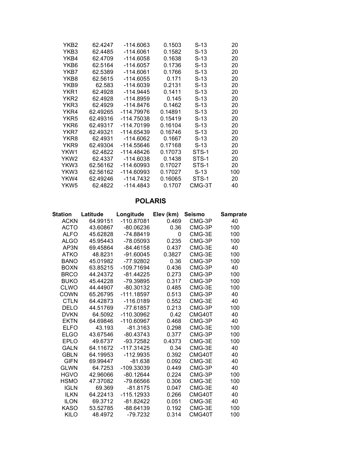| YKB2 | 62.4247  | -114.6063    | 0.1503  | S-13   | 20  |
|------|----------|--------------|---------|--------|-----|
| YKB3 | 62.4485  | $-114.6061$  | 0.1582  | S-13   | 20  |
| YKB4 | 62.4709  | -114.6058    | 0.1638  | S-13   | 20  |
| YKB6 | 62.5164  | $-114.6057$  | 0.1736  | S-13   | 20  |
| YKB7 | 62.5389  | $-114.6061$  | 0.1766  | S-13   | 20  |
| YKB8 | 62.5615  | -114.6055    | 0.171   | S-13   | 20  |
| YKB9 | 62.583   | -114.6039    | 0.2131  | S-13   | 20  |
| YKR1 | 62.4928  | $-114.9445$  | 0.1411  | S-13   | 20  |
| YKR2 | 62.4928  | $-114.8959$  | 0.145   | S-13   | 20  |
| YKR3 | 62.4929  | $-114.8476$  | 0.1462  | S-13   | 20  |
| YKR4 | 62.49265 | -114.79976   | 0.14891 | S-13   | 20  |
| YKR5 | 62.49316 | -114.75038   | 0.15419 | S-13   | 20  |
| YKR6 | 62.49317 | -114.70199   | 0.16104 | S-13   | 20  |
| YKR7 | 62.49321 | $-114.65439$ | 0.16746 | S-13   | 20  |
| YKR8 | 62.4931  | $-114.6062$  | 0.1667  | S-13   | 20  |
| YKR9 | 62.49304 | $-114.55646$ | 0.17168 | S-13   | 20  |
| YKW1 | 62.4822  | $-114.48426$ | 0.17073 | STS-1  | 20  |
| YKW2 | 62.4337  | $-114.6038$  | 0.1438  | STS-1  | 20  |
| YKW3 | 62.56162 | $-114.60993$ | 0.17027 | STS-1  | 20  |
| YKW3 | 62.56162 | -114.60993   | 0.17027 | S-13   | 100 |
| YKW4 | 62.49246 | -114.7432    | 0.16065 | STS-1  | 20  |
| YKW5 | 62.4822  | -114.4843    | 0.1707  | CMG-3T | 40  |
|      |          |              |         |        |     |

### **POLARIS**

| Station     | Latitude | Longitude    | Elev (km) | <b>Seismo</b> | <b>Samprate</b> |
|-------------|----------|--------------|-----------|---------------|-----------------|
| <b>ACKN</b> | 64.99151 | $-110.87081$ | 0.469     | CMG-3P        | 40              |
| <b>ACTO</b> | 43.60867 | $-80.06236$  | 0.36      | CMG-3P        | 100             |
| <b>ALFO</b> | 45.62828 | $-74.88419$  | 0         | CMG-3E        | 100             |
| <b>ALGO</b> | 45.95443 | $-78.05093$  | 0.235     | CMG-3P        | 100             |
| AP3N        | 69.45864 | $-84.46158$  | 0.437     | CMG-3E        | 40              |
| <b>ATKO</b> | 48.8231  | $-91.60045$  | 0.3827    | CMG-3E        | 100             |
| <b>BANO</b> | 45.01982 | -77.92802    | 0.36      | CMG-3P        | 100             |
| <b>BOXN</b> | 63.85215 | $-109.71694$ | 0.436     | CMG-3P        | 40              |
| <b>BRCO</b> | 44.24372 | $-81.44225$  | 0.273     | CMG-3P        | 100             |
| <b>BUKO</b> | 45.44228 | -79.39895    | 0.317     | CMG-3P        | 100             |
| <b>CLWO</b> | 44.44907 | -80.30132    | 0.485     | CMG-3E        | 100             |
| <b>COWN</b> | 65.26795 | $-111.18597$ | 0.513     | CMG-3P        | 40              |
| <b>CTLN</b> | 64.42873 | $-116.0189$  | 0.552     | CMG-3E        | 40              |
| <b>DELO</b> | 44.51769 | $-77.61857$  | 0.213     | CMG-3P        | 100             |
| <b>DVKN</b> | 64.5092  | $-110.30962$ | 0.42      | CMG40T        | 40              |
| <b>EKTN</b> | 64.69846 | $-110.60967$ | 0.468     | CMG-3P        | 40              |
| <b>ELFO</b> | 43.193   | $-81.3163$   | 0.298     | CMG-3E        | 100             |
| <b>ELGO</b> | 43.67546 | $-80.43743$  | 0.377     | CMG-3P        | 100             |
| <b>EPLO</b> | 49.6737  | $-93.72582$  | 0.4373    | CMG-3E        | 100             |
| <b>GALN</b> | 64.11672 | $-117.31425$ | 0.34      | CMG-3E        | 40              |
| <b>GBLN</b> | 64.19953 | $-112.9935$  | 0.392     | CMG40T        | 40              |
| <b>GIFN</b> | 69.99447 | $-81.638$    | 0.092     | CMG-3E        | 40              |
| <b>GLWN</b> | 64.7253  | -109.33039   | 0.449     | CMG-3P        | 40              |
| <b>HGVO</b> | 42.96066 | $-80.12644$  | 0.224     | CMG-3P        | 100             |
| <b>HSMO</b> | 47.37082 | -79.66566    | 0.306     | CMG-3E        | 100             |
| <b>IGLN</b> | 69.369   | $-81.8175$   | 0.047     | CMG-3E        | 40              |
| <b>ILKN</b> | 64.22413 | $-115.12933$ | 0.266     | CMG40T        | 40              |
| <b>ILON</b> | 69.3712  | $-81.82422$  | 0.051     | CMG-3E        | 40              |
| <b>KASO</b> | 53.52785 | $-88.64139$  | 0.192     | CMG-3E        | 100             |
| <b>KILO</b> | 48.4972  | $-79.7232$   | 0.314     | CMG40T        | 100             |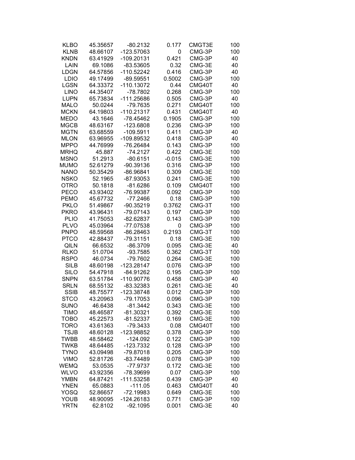| <b>KLBO</b> | 45.35657 | $-80.2132$   | 0.177    | CMGT3E | 100 |
|-------------|----------|--------------|----------|--------|-----|
| <b>KLNB</b> | 48.66107 | -123.57063   | 0        | CMG-3P | 100 |
| <b>KNDN</b> | 63.41929 | -109.20131   | 0.421    | CMG-3P | 40  |
| LAIN        | 69.1086  | $-83.53605$  | 0.32     | CMG-3E | 40  |
| <b>LDGN</b> | 64.57856 | -110.52242   | 0.416    | CMG-3P | 40  |
| <b>LDIO</b> | 49.17499 | $-89.59551$  | 0.5002   | CMG-3P | 100 |
| <b>LGSN</b> | 64.33372 | -110.13072   | 0.44     | CMG40T | 40  |
| <b>LINO</b> | 44.35407 | $-78.7802$   | 0.268    | CMG-3P | 100 |
| <b>LUPN</b> | 65.73834 | -111.25686   | 0.505    | CMG-3P | 40  |
| <b>MALO</b> | 50.0244  | -79.7635     | 0.271    | CMG40T | 100 |
| <b>MCKN</b> | 64.19803 | $-110.21317$ | 0.431    | CMG40T | 40  |
| <b>MEDO</b> | 43.1646  | -78.45462    | 0.1905   | CMG-3P | 100 |
| <b>MGCB</b> | 48.63167 | $-123.6808$  | 0.236    | CMG-3P | 100 |
| MGTN        | 63.68559 | $-109.5911$  | 0.411    | CMG-3P | 40  |
| <b>MLON</b> | 63.96955 | -109.89532   | 0.418    | CMG-3P | 40  |
| <b>MPPO</b> | 44.76999 | -76.26484    | 0.143    | CMG-3P | 100 |
| <b>MRHQ</b> | 45.887   | $-74.2127$   | 0.422    | CMG-3E | 100 |
| <b>MSNO</b> | 51.2913  | $-80.6151$   | $-0.015$ | CMG-3E | 100 |
| <b>MUMO</b> | 52.61279 | -90.39136    | 0.316    | CMG-3P | 100 |
| <b>NANO</b> | 50.35429 | -86.96841    | 0.309    | CMG-3E | 100 |
| <b>NSKO</b> | 52.1965  | $-87.93053$  | 0.241    | CMG-3E | 100 |
| <b>OTRO</b> | 50.1818  | $-81.6286$   | 0.109    | CMG40T | 100 |
| <b>PECO</b> | 43.93402 | -76.99387    | 0.092    | CMG-3P | 100 |
| <b>PEMO</b> | 45.67732 | $-77.2466$   | 0.18     | CMG-3P | 100 |
| <b>PKLO</b> | 51.49867 | $-90.35219$  | 0.3762   | CMG-3T | 100 |
| <b>PKRO</b> | 43.96431 | -79.07143    | 0.197    | CMG-3P | 100 |
| <b>PLIO</b> | 41.75053 | $-82.62837$  | 0.143    | CMG-3P | 100 |
| <b>PLVO</b> | 45.03964 | -77.07538    | 0        | CMG-3P | 100 |
| <b>PNPO</b> | 48.59568 | -86.28463    | 0.2193   | CMG-3T | 100 |
| <b>PTCO</b> | 42.88437 | $-79.31151$  | 0.18     | CMG-3E | 100 |
| <b>QILN</b> | 66.6532  | $-86.3709$   | 0.095    | CMG-3E | 40  |
| <b>RLKO</b> | 51.0704  | $-93.7585$   | 0.362    | CMG-3T | 100 |
| RSPO        | 46.0734  | -79.7602     | 0.264    | CMG-3E | 100 |
| <b>SILB</b> | 48.60198 | $-123.28147$ | 0.076    | CMG-3P | 100 |
| <b>SILO</b> | 54.47918 | -84.91262    | 0.195    | CMG-3P | 100 |
| <b>SNPN</b> | 63.51784 | -110.90776   | 0.458    | CMG-3P | 40  |
| <b>SRLN</b> | 68.55132 | -83.32383    | 0.261    | CMG-3E | 40  |
| <b>SSIB</b> | 48.75577 | -123.38748   | 0.012    | CMG-3P | 100 |
| <b>STCO</b> | 43.20963 | -79.17053    | 0.096    | CMG-3P | 100 |
| <b>SUNO</b> | 46.6438  | $-81.3442$   | 0.343    | CMG-3E | 100 |
| <b>TIMO</b> | 48.46587 | $-81.30321$  | 0.392    | CMG-3E | 100 |
| <b>TOBO</b> | 45.22573 | $-81.52337$  | 0.169    | CMG-3E | 100 |
| <b>TORO</b> | 43.61363 | $-79.3433$   | 0.08     | CMG40T | 100 |
| <b>TSJB</b> | 48.60128 | -123.98852   | 0.378    | CMG-3P | 100 |
| <b>TWBB</b> | 48.58462 | $-124.092$   | 0.122    | CMG-3P | 100 |
| <b>TWKB</b> | 48.64485 | $-123.7332$  | 0.128    | CMG-3P | 100 |
| <b>TYNO</b> | 43.09498 | -79.87018    | 0.205    | CMG-3P | 100 |
| <b>VIMO</b> | 52.81726 | $-83.74489$  | 0.078    | CMG-3P | 100 |
| <b>WEMQ</b> | 53.0535  | $-77.9737$   | 0.172    | CMG-3E | 100 |
| <b>WLVO</b> | 43.92356 | -78.39699    | 0.07     | CMG-3P | 100 |
| <b>YMBN</b> | 64.87421 | $-111.53258$ | 0.439    | CMG-3P | 40  |
| <b>YNEN</b> | 65.0883  | $-111.05$    | 0.463    | CMG40T | 40  |
| <b>YOSQ</b> | 52.86657 | -72.19983    | 0.649    | CMG-3E | 100 |
| <b>YOUB</b> | 48.90095 | -124.26183   | 0.771    | CMG-3P | 100 |
| <b>YRTN</b> | 62.8102  | $-92.1095$   | 0.001    | CMG-3E | 40  |